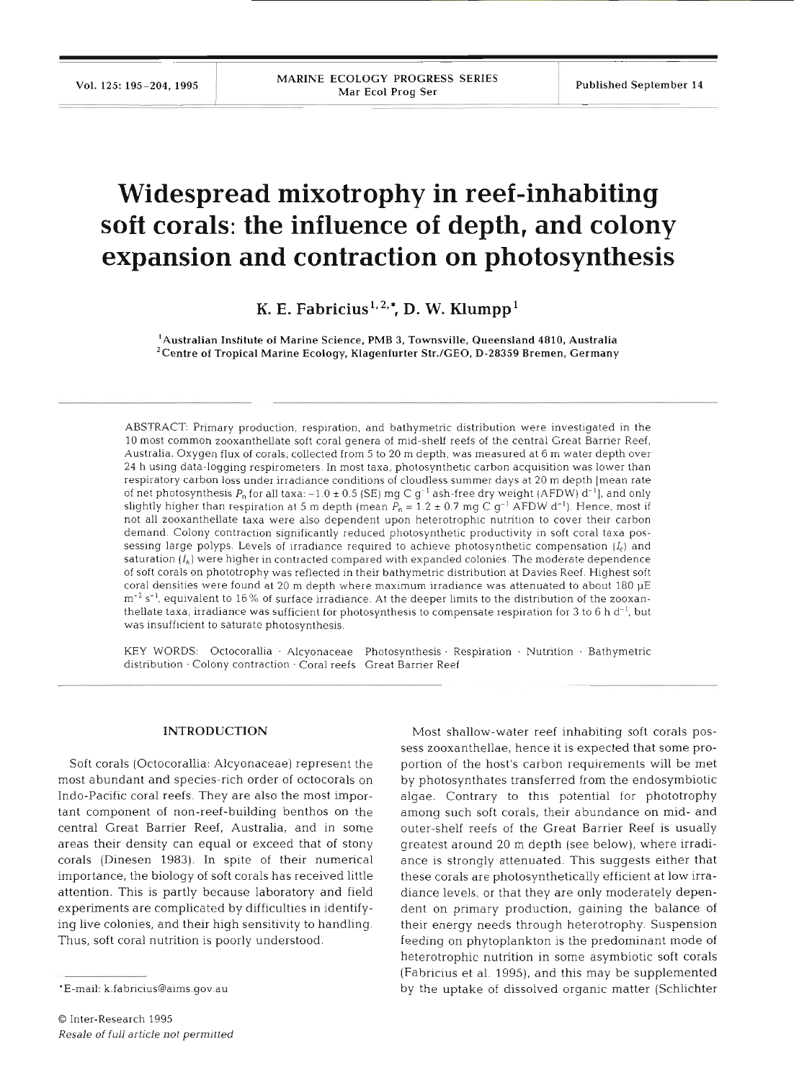# **Widespread mixotrophy in reef-inhabiting soft corals: the influence of depth, and colony expansion and contraction on photosynthesis**

K. E. Fabricius<sup>1, 2,\*</sup>, D. W. Klumpp<sup>1</sup>

'Australian Institute of Marine Science, PMB **3,** Townsville, Queensland 4810, Australia 2Centre of Tropical Marine Ecology, Klagenfurter Str./GEO, **D-28359** Bremen, Germany

ABSTRACT: Primary production, respiration, and bathymetric distribution were investigated in the 10 most common zooxanthellate soft coral genera of mid-shelf reefs of the central Great Barrier Reef, Australia. Oxygen flux of corals, collected from 5 to 20 m depth, was measured at 6 m water depth over 24 h uslng data-logging respirometers. In most taxa, photosynthetic carbon acquisition was lower than respiratory carbon loss under irradiance conditions of cloudless summer days at 20 m depth [mean rate of net photosynthesis  $P_n$  for all taxa:  $-1.0 \pm 0.5$  (SE) mg C g<sup>-1</sup> ash-free dry weight (AFDW) d<sup>-1</sup>], and only slightly higher than respiration at 5 m depth (mean  $P_n = 1.2 \pm 0.7$  mg C g<sup>-1</sup> AFDW d<sup>-1</sup>). Hence, most if not all zooxanthellate taxa were also dependent upon heterotrophic nutrition to cover their carbon demand. Colony contraction significantly reduced photosynthetic productivity in soft coral taxa possessing large polyps. Levels of irradiance required to achieve photosynthetic compensation *(I,)* and saturation  $(I_k)$  were higher in contracted compared with expanded colonies. The moderate dependence of soft corals on phototrophy was reflected in their bathymetric distribution at Davies Reef. Highest soft coral densities were found at 20 m depth where maximum irradiance was attenuated to about 180 pE m-2 S **-1** , equivalent to 16% of surface irradiance. **At** the deeper limits to the distribution of the zooxanthellate taxa, irradiance was sufficient for photosynthesis to compensate respiration for **3** to *6* h d-', but was insufficient to saturate photosynthesis.

KEY WORDS: Octocorallia . Alcyonaceae Photosynthesis. Respiration . Nutrition - Bathymetric distribution · Colony contraction · Coral reefs Great Barrier Reef

#### **INTRODUCTI**

Soft corals (Octocorallia: Alcyonaceae) represent the most abundant and species-rich order of octocorals on Indo-Pacific coral reefs. They are also the most important component of non-reef-building benthos on the central Great Barrier Reef, Australia, and in some areas their density can equal or exceed that of stony corals (Dinesen 1983). In spite of their numerical importance, the biology of soft corals has received little attention. This is partly because laboratory and field experiments are complicated by difficulties in identifying live colonies, and their high sensitivity to handling. Thus, soft coral nutrition is poorly understood.

Most shallow-water reef inhabiting soft corals possess zooxanthellae, hence it is expected that some proportion of the host's carbon requirements will be met by photosynthates transferred from the endosymbiotic algae. Contrary to this potential for phototrophy among such soft corals, their abundance on mid- and outer-shelf reefs of the Great Barrier Reef is usually greatest around 20 m depth (see below), where irradiance is strongly attenuated. This suggests either that these corals are photosynthetically efficient at low irradiance levels, or that they are only moderately dependent on primary production, gaining the balance of their energy needs through heterotrophy. Suspension feeding on phytoplankton is the predominant mode of heterotrophic nutrition in some asymbiotic soft corals (Fabricius et al. 1995), and this may be supplemented by the uptake of dissolved organic matter (Schlichter

<sup>\*</sup>E-mail: k.fabricius@aims.gov.au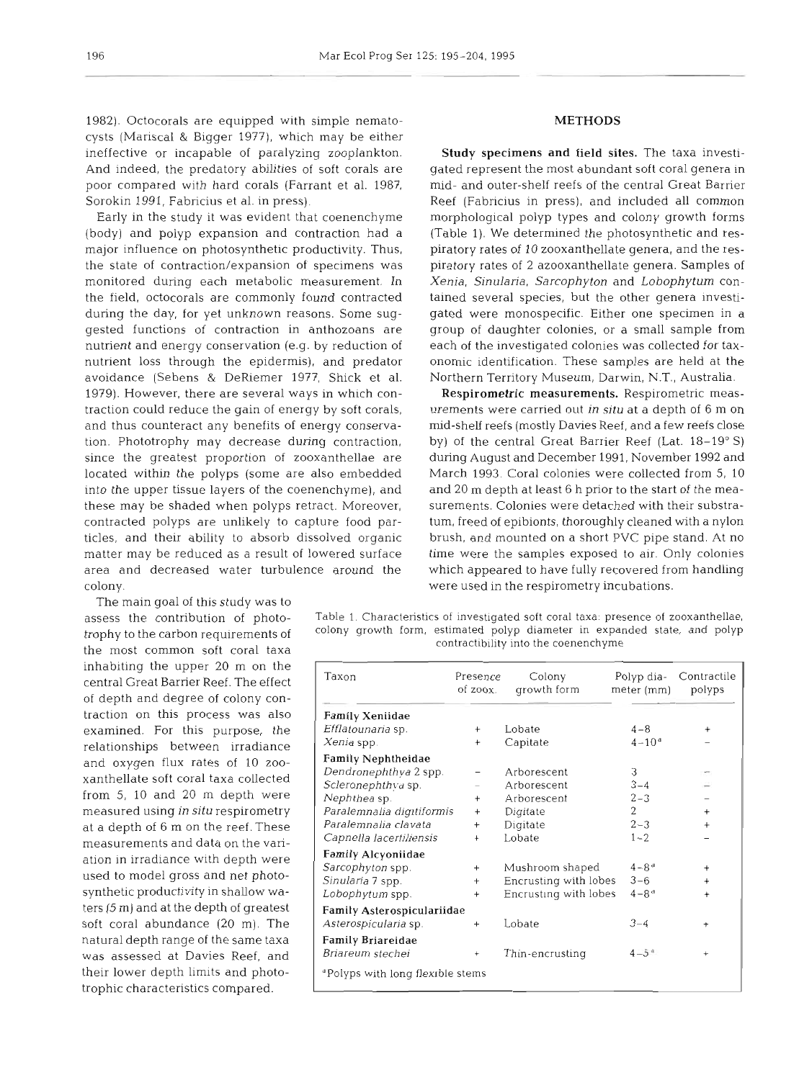1982). Octocorals are equipped with simple nematocysts (Mariscal & Bigger 1977), which may be either ineffective or incapable of paralyzing zooplankton. And indeed, the predatory abilities of soft corals are poor compared with hard corals (Farrant et al. 1987, Sorokin 1991, Fabricius et al. in press).

Early in the study it was evident that coenenchyme (body) and polyp expansion and contraction had a major influence on photosynthetic productivity. Thus, the state of contraction/expansion of specimens was monitored during each metabolic measurement. In the field, octocorals are commonly found contracted during the day, for yet unknown reasons. Some suggested functions of contraction in anthozoans are nutrient and energy conservation (e.g. by reduction of nutrient loss through the epidermis), and predator avoidance (Sebens & DeRiemer 1977, Shick et al. 1979). However, there are several ways in which contraction could reduce the gain of energy by soft corals, and thus counteract any benefits of energy conservation. Phototrophy may decrease during contraction, since the greatest proportion of zooxanthellae are located within the polyps (some are also embedded into the upper tissue layers of the coenenchyme), and these may be shaded when polyps retract. Moreover, contracted polyps are unlikely to capture food particles, and their ability to absorb dissolved organic matter may be reduced as a result of lowered surface area and decreased water turbulence around the colony.

The main goal of this study was to assess the contribution of phototrophy to the carbon requirements of the most common soft coral taxa traction on this process was also examined. For this purpose, the relationships between irradiance inhabiting the upper 20 m on the central Great Barrier Reef. The effect of depth and degree of colony conand oxygen flux rates of 10 zooxanthellate soft coral taxa collected from 5, 10 and 20 m depth were measured using in **situ** respirometry at a depth of 6 m on the reef. These measurements and data on the variation in irradiance with depth were used to model gross and net photosynthetic productivity in shallow waters (5 m) and at the depth of greatest soft coral abundance (20 m). The natural depth range of the same taxa was assessed at Davies Reef, and their lower depth limits and phototrophic characteristics compared.

#### METHODS

Study specimens and **field** sites. The taxa investigated represent the most abundant soft coral genera in mid- and outer-shelf reefs of the central Great Barrier Reef (Fabricius in press), and included all common morphological polyp types and colony growth forms (Table 1). We determined the photosynthetic and respiratory rates of 10 zooxanthellate genera, and the respiratory rates of 2 azooxanthellate genera. Samples of Xenia, Sinularia, Sarcophyton and Lobophytum contained several species, but the other genera investigated were monospecific. Either one specimen in a group of daughter colonies, or a small sample from each of the investigated colonies was collected for taxonomic identification. These samples are held at the Northern Territory Museum, Darwin, N.T., Australia.

Respirometric measurements. Respirometric measurements were carried out in situ at a depth of 6 m on mid-shelf reefs (mostly Davies Reef, and a few reefs close by) of the central Great Barrier Reef (Lat. 18-19" S) during August and December 1991, November 1992 and March 1993. Coral colonies were collected from 5, 10 and 20 m depth at least 6 h prior to the start of the measurements. Colonies were detached with their substratum, freed of epibionts, thoroughly cleaned with a nylon brush, and mounted on a short PVC pipe stand. At no time were the samples exposed to air. Only colonies which appeared to have fully recovered from handling were used in the respirometry incubations.

Table 1. Characteristics of investigated soft coral taxa: presence of zooxanthellae, colony growth form, estimated polyp diameter in expanded state, and polyp contractibility into the coenenchyme

| Taxon                                        | Presence<br>of zoox. | Colony<br>growth form | Polyp dia-<br>meter (mm) | Contractile<br>polyps |
|----------------------------------------------|----------------------|-----------------------|--------------------------|-----------------------|
| <b>Family Xeniidae</b>                       |                      |                       |                          |                       |
| Efflatounaria sp.                            | $+$                  | Lobate                | $4 - 8$                  | $^{+}$                |
| Xenia spp.                                   | $\ddot{}$            | Capitate              | $4 - 10^{a}$             |                       |
| <b>Family Nephtheidae</b>                    |                      |                       |                          |                       |
| Dendronephthya 2 spp.                        |                      | Arborescent           | 3                        |                       |
| Scleronephthva sp.                           |                      | Arborescent           | $3 - 4$                  |                       |
| Nephthea sp.                                 | $^{+}$               | Arborescent           | $2 - 3$                  |                       |
| Paralemnalia digitiformis                    | $^{+}$               | Digitate              | 2                        | $^{+}$                |
| Paralemnalia clavata                         | $^{+}$               | Digitate              | $2 - 3$                  | $^{+}$                |
| Capnella lacertiliensis                      | $\ddot{}$            | Lobate                | $1 - 2$                  |                       |
| Family Alcyoniidae                           |                      |                       |                          |                       |
| Sarcophyton spp.                             | $+$                  | Mushroom shaped       | $4 - 8$ <sup>d</sup>     | $\ddot{}$             |
| Sinularia 7 spp.                             | $^{+}$               | Encrusting with lobes | $3 - 6$                  | $^{+}$                |
| Lobophytum spp.                              | $^{+}$               | Encrusting with lobes | $4 - 8$ <sup>d</sup>     | $\ddot{}$             |
| Family Asterospiculariidae                   |                      |                       |                          |                       |
| Asterospicularia sp.                         | $^{+}$               | Lobate                | $3 - 4$                  | $\ddot{}$             |
| Family Briareidae                            |                      |                       |                          |                       |
| Briareum stechei                             | $\ddot{}$            | Thin-encrusting       | $4 - 5^{\circ}$          |                       |
| <sup>d</sup> Polyps with long flexible stems |                      |                       |                          |                       |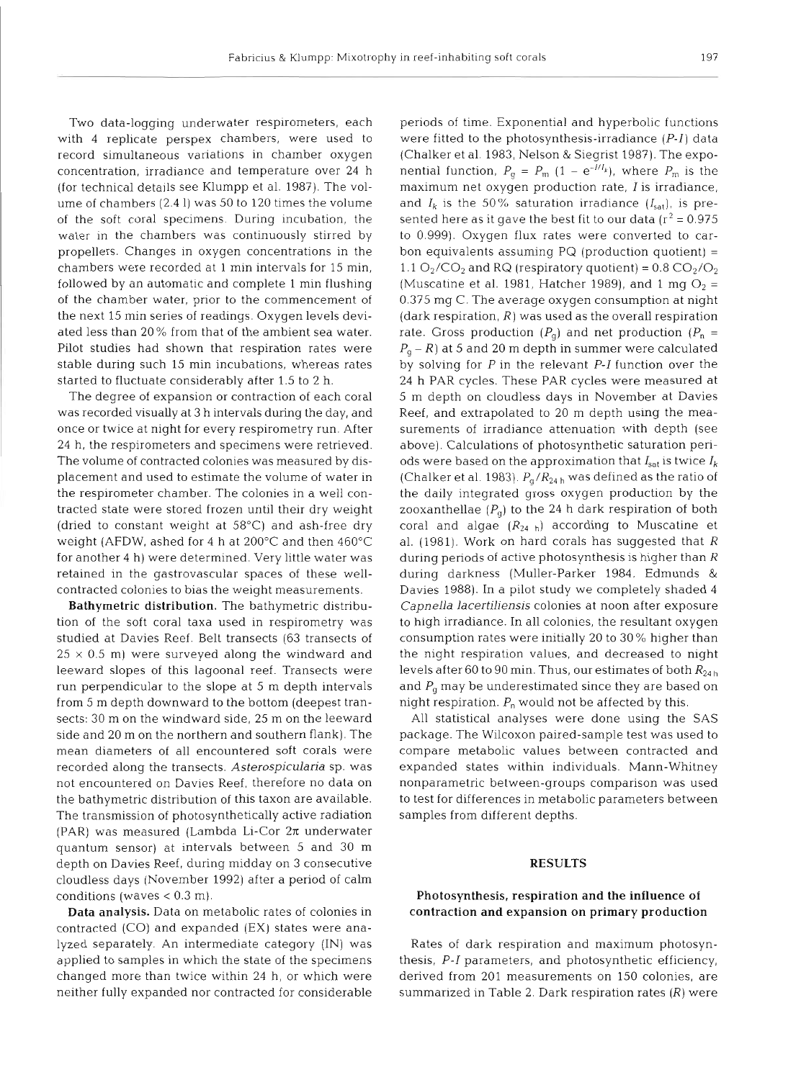Two data-logging underwater respirometers, each with 4 replicate perspex chambers, were used to record simultaneous variations in chamber oxygen concentration, irradiance and temperature over 24 h (for technical details see Klumpp et al. 1987). The volume of chambers (2.4 1) was 50 to 120 times the volume of the soft coral specimens. During incubation, the water in the chambers was continuously stirred by propellers. Changes in oxygen concentrations in the chambers were recorded at 1 min intervals for 15 min, followed by an automatic and complete 1 min flushing of the chamber water, prior to the commencement of the next 15 min series of readings. Oxygen levels deviated less than 20 % from that of the ambient sea water. Pilot studies had shown that respiration rates were stable during such 15 min incubations, whereas rates started to fluctuate considerably after 1.5 to 2 h.

The degree of expansion or contraction of each coral was recorded visually at 3 h intervals during the day, and once or twice at night for every respirometry run. After 24 h, the respirometers and specimens were retrieved. The volume of contracted colonies was measured by displacement and used to estimate the volume of water in the respirometer chamber. The colonies in a well contracted state were stored frozen until their dry weight (dried to constant weight at 58°C) and ash-free dry weight (AFDW, ashed for 4 h at 200°C and then 460°C for another 4 h) were determined. Very little water was retained in the gastrovascular spaces of these wellcontracted colonies to bias the weight measurements.

Bathymetric distribution. The bathymetric distribution of the soft coral taxa used in respirometry was studied at Davies Reef. Belt transects (63 transects of  $25 \times 0.5$  m) were surveyed along the windward and leeward slopes of this lagoonal reef. Transects were run perpendicular to the slope at 5 m depth intervals from 5 m depth downward to the bottom (deepest transects: 30 m on the windward side, 25 m on the leeward side and 20 m on the northern and southern flank). The mean diameters of all encountered soft corals were recorded along the transects. *Asterospicularia* sp. was not encountered on Davies Reef, therefore no data on the bathymetric distribution of this taxon are available. The transmission of photosynthetically active radiation (PAR) was measured (Lambda Li-Cor  $2\pi$  underwater quantum sensor) at intervals between 5 and 30 m depth on Davies Reef, during midday on 3 consecutive cloudless days (November 1992) after a period of calm conditions (waves  $< 0.3$  m).

**Data analysis.** Data on metabolic rates of colonies in contracted (CO) and expanded (EX) states were analyzed separately. An intermediate category (IN) was applied to samples in which the state of the specimens changed more than twice within 24 h, or which were neither fully expanded nor contracted for considerable

periods of time. Exponential and hyperbolic functions were fitted to the photosynthesis-irradiance (P-I) data (Chalker et al. 1983, Nelson & Siegrist 1987). The exponential function,  $P_{\rm q} = P_{\rm m} (1 - e^{-t/I_k})$ , where  $P_{\rm m}$  is the maximum net oxygen production rate, I is irradiance, and  $I_k$  is the 50% saturation irradiance  $(I_{sat})$ , is presented here as it gave the best fit to our data  $(r^2 = 0.975$ to 0.999). Oxygen flux rates were converted to carbon equivalents assuming  $PQ$  (production quotient) = 1.1  $O_2/CO_2$  and RQ (respiratory quotient) = 0.8  $CO_2/O_2$ (Muscatine et al. 1981, Hatcher 1989), and 1 mg  $O_2$  = 0.375 mg C. The average oxygen consumption at night (dark respiration,  $R$ ) was used as the overall respiration rate. Gross production  $(P_q)$  and net production  $(P_n =$  $P_q - R$ ) at 5 and 20 m depth in summer were calculated by solving for P in the relevant P-I function over the 24 h PAR cycles. These PAR cycles were measured at 5 m depth on cloudless days in November at Davies Reef, and extrapolated to 20 m depth using the measurements of irradiance attenuation with depth (see above). Calculations of photosynthetic saturation periods were based on the approximation that  $I_{\text{sat}}$  is twice  $I_k$ (Chalker et al. 1983).  $P_q/R_{24 h}$  was defined as the ratio of the daily integrated gross oxygen production by the zooxanthellae  $(P_{\alpha})$  to the 24 h dark respiration of both coral and algae  $(R_{24 h})$  according to Muscatine et al. (1981). Work on hard corals has suggested that R during periods of active photosynthesis is higher than R during darkness (Muller-Parker 1984, Edmunds & Davies 1988). In a pilot study we completely shaded 4 *Capnella lacertiliensis* colonies at noon after exposure to high irradiance. In all colonies, the resultant oxygen consumption rates were initially 20 to 30 % higher than the night respiration values, and decreased to night levels after 60 to 90 min. Thus, our estimates of both  $R_{24 h}$ and  $P_{\alpha}$  may be underestimated since they are based on night respiration.  $P_n$  would not be affected by this.

All statistical analyses were done using the SAS package. The Wilcoxon paired-sample test was used to compare metabolic values between contracted and expanded states within individuals. Mann-Whitney nonparametric between-groups comparison was used to test for differences in metabolic parameters between samples from different depths.

#### **RESULTS**

## **Photosynthesis, respiration and the influence of contraction and expansion on primary production**

Rates of dark respiration and maximum photosynthesis, P-I parameters, and photosynthetic efficiency, derived from 201 measurements on 150 colonies, are summarized in Table 2. Dark respiration rates  $(R)$  were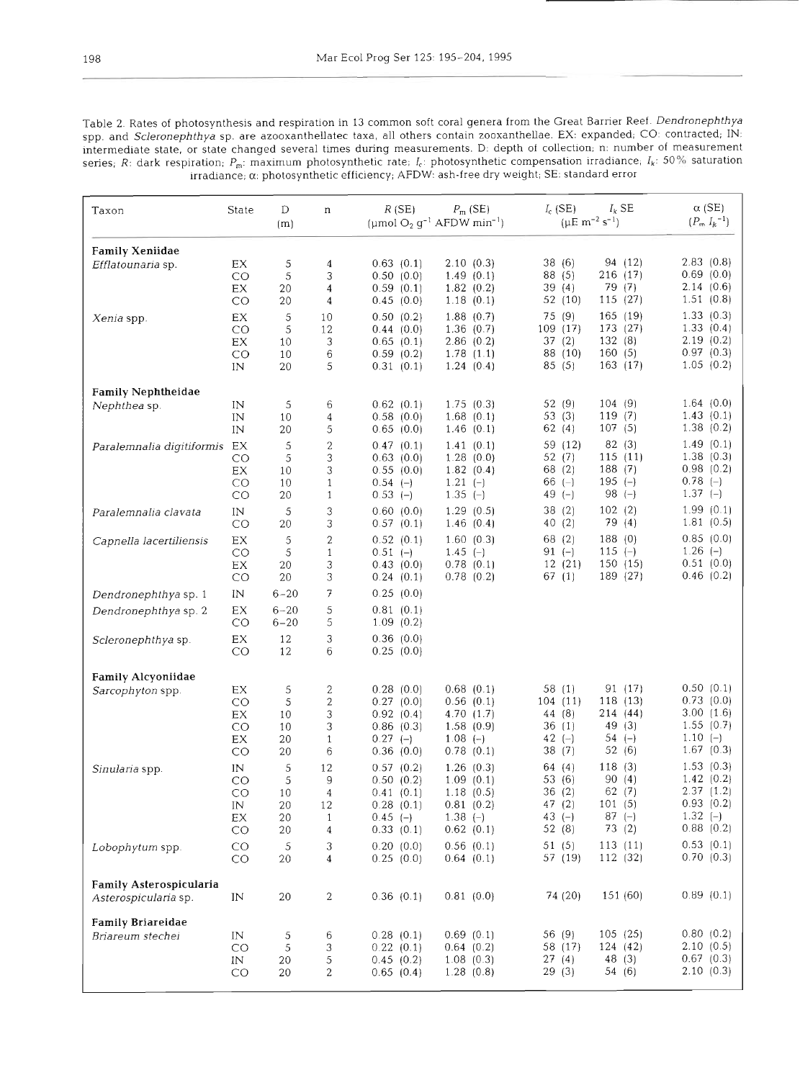Table 2. Rates of photosynthesis and respiration in 13 common soft coral genera from the Great Barrier Reef. Dendronephthya spp. and Scleronephthya sp. are azooxanthellatec taxa, all others contain zooxanthellae. EX: expanded; CO: contracted; IN: intermediate state, or state changed several times during measurements. D: depth of collection, n: number of measurement series, R: dark respiration; P<sub>m</sub>: maximum photosynthetic rate; *l<sub>i</sub>*: photosynthetic compensation irradiance; *l<sub>k</sub>*: 50% saturation lrrahance; *a.* photosynthetic efficiency; AFDW: ash-free dry weight; SE, standard error

| Taxon                                        | State                            | D<br>(m)             | n                                                       | R(SE)                               | $P_m$ (SE)<br>(µmol $O_2$ $g^{-1}$ AFDW min <sup>-1</sup> ) | $I_c$ (SE)<br>$I_k$ SE<br>$(\mu E \text{ m}^{-2} \text{ s}^{-1})$ |                                     |
|----------------------------------------------|----------------------------------|----------------------|---------------------------------------------------------|-------------------------------------|-------------------------------------------------------------|-------------------------------------------------------------------|-------------------------------------|
| <b>Family Xeniidae</b>                       |                                  |                      |                                                         |                                     |                                                             |                                                                   |                                     |
| Efflatounaria sp.                            | EX<br>CO<br>EX                   | 5<br>5<br>20         | $\overline{\mathbf{4}}$<br>3<br>$\overline{\mathbf{4}}$ | 0.63(0.1)<br>0.50(0.0)<br>0.59(0.1) | 2.10(0.3)<br>1.49(0.1)<br>1.82(0.2)                         | 94 (12)<br>38(6)<br>88(5)<br>216 (17)<br>39(4)<br>79 (7)          | 2.83(0.8)<br>0.69(0.0)<br>2.14(0.6) |
|                                              | CO                               | 20                   | 4                                                       | 0.45(0.0)                           | 1.18(0.1)                                                   | 52 (10)<br>115(27)                                                | 1.51(0.8)                           |
| Xenia spp.                                   | $\mathop{\rm EX}\nolimits$<br>CO | 5<br>$\mathsf S$     | 10<br>12                                                | 0.50(0.2)<br>0.44(0.0)              | 1.88(0.7)<br>1.36(0.7)                                      | 165 (19)<br>75 (9)<br>173 (27)<br>109 (17)<br>132(8)<br>37(2)     | 1.33(0.3)<br>1.33(0.4)<br>2.19(0.2) |
|                                              | EX<br>CO<br>IN                   | 10<br>10<br>20       | 3<br>6<br>5                                             | 0.65(0.1)<br>0.59(0.2)<br>0.31(0.1) | 2.86(0.2)<br>1.78(1.1)<br>1.24(0.4)                         | 88 (10)<br>160(5)<br>163 (17)<br>85(5)                            | 0.97(0.3)<br>1.05(0.2)              |
| <b>Family Nephtheidae</b>                    |                                  |                      |                                                         |                                     |                                                             |                                                                   |                                     |
| Nephthea sp.                                 | IN<br>IN                         | 5<br>10              | 6<br>4                                                  | 0.62(0.1)<br>0.58(0.0)              | 1.75(0.3)<br>1.68(0.1)                                      | 104(9)<br>52 (9)<br>119 $(7)$<br>53(3)<br>107(5)<br>62(4)         | 1.64(0.0)<br>1.43(0.1)<br>1.38(0.2) |
| Paralemnalia digitiformis EX                 | $\text{IN}{}$                    | 20<br>5              | 5<br>$\overline{\mathbf{c}}$                            | 0.65(0.0)<br>0.47(0.1)              | 1.46(0.1)<br>1.41(0.1)                                      | 82 (3)<br>59 (12)                                                 | 1.49(0.1)                           |
|                                              | CO<br>EX                         | 5<br>10              | 3<br>3                                                  | 0.63(0.0)<br>0.55(0.0)              | 1.28(0.0)<br>1.82(0.4)                                      | 115(11)<br>52 $(7)$<br>188(7)<br>68 (2)                           | 1.38(0.3)<br>0.98(0.2)              |
|                                              | CO<br>CO                         | 10<br>20             | $\mathbf{1}$<br>$\mathbf{1}$                            | $0.54$ (-)<br>$0.53(-)$             | $1.21(-)$<br>$1.35(-)$                                      | 195 $(-)$<br>66 $(-)$<br>98 $(-)$<br>$49(-)$                      | $0.78$ (-)<br>$1.37(-)$             |
| Paralemnalia clavata                         | $\rm{IN}$<br>CO                  | 5<br>20              | 3<br>3                                                  | 0.60(0.0)<br>0.57(0.1)              | 1.29(0.5)<br>1.46(0.4)                                      | 102(2)<br>38(2)<br>79 (4)<br>40(2)                                | 1.99(0.1)<br>1.81(0.5)              |
| Capnella lacertiliensis                      | EX<br>CO<br>EX                   | 5<br>5<br>20         | $\boldsymbol{2}$<br>$\mathbf{1}$<br>3                   | 0.52(0.1)<br>$0.51(-)$<br>0.43(0.0) | 1.60(0.3)<br>1.45 $(-)$<br>0.78(0.1)                        | 188(0)<br>68 (2)<br>115 $(-)$<br>$91 (-)$<br>150(15)<br>12 (21)   | 0.85(0.0)<br>$1.26(-)$<br>0.51(0.0) |
|                                              | CO                               | 20                   | 3                                                       | 0.24(0.1)                           | 0.78(0.2)                                                   | 189 (27)<br>67 (1)                                                | 0.46(0.2)                           |
| Dendronephthya sp. 1                         | $\text{IN}{}$                    | $6 - 20$             | 7                                                       | 0.25(0.0)                           |                                                             |                                                                   |                                     |
| Dendronephthya sp. 2                         | EX<br>CO                         | $6 - 20$<br>$6 - 20$ | 5<br>5                                                  | 0.81(0.1)<br>1.09(0.2)              |                                                             |                                                                   |                                     |
| Scleronephthya sp.                           | EX<br>CO                         | 12<br>12             | 3<br>6                                                  | 0.36(0.0)<br>0.25(0.0)              |                                                             |                                                                   |                                     |
| Family Alcyoniidae                           |                                  |                      |                                                         |                                     |                                                             |                                                                   |                                     |
| Sarcophyton spp.                             | EX<br>CO                         | 5<br>5               | $\boldsymbol{2}$<br>$\sqrt{2}$                          | 0.28(0.0)<br>0.27(0.0)              | 0.68(0.1)<br>0.56(0.1)                                      | 91(17)<br>58(1)<br>104 (11)<br>118(13)                            | 0.50(0.1)<br>0.73(0.0)              |
|                                              | EX                               | 10                   | 3                                                       | 0.92(0.4)                           | 4.70(1.7)                                                   | 214 (44)<br>44 (8)                                                | 3.00(1.6)                           |
|                                              | CO<br>$\mathop{\rm EX}\nolimits$ | 10<br>20             | 3<br>$\mathbf{1}$                                       | 0.86(0.3)<br>$0.27(-)$              | 1.58(0.9)<br>$1.08(-)$                                      | 49 (3)<br>36(1)<br>$54 (-)$<br>42 $(-)$                           | 1.55(0.7)<br>$1.10(-)$              |
|                                              | CO                               | 20                   | 6                                                       | 0.36(0.0)                           | 0.78(0.1)                                                   | 38(7)<br>52(6)                                                    | 1.67(0.3)                           |
| Sinularia spp.                               | IN<br>CO                         | 5                    | 12                                                      | 0.57(0.2)<br>0.50(0.2)              | 1.26(0.3)<br>1.09(0.1)                                      | 118(3)<br>64(4)<br>90(4)<br>53 (6)                                | 1.53(0.3)<br>1.42(0.2)              |
|                                              | CO                               | 5<br>10              | 9<br>4                                                  | 0.41(0.1)                           | 1.18(0.5)                                                   | 62(7)<br>36(2)                                                    | 2.37(1.2)                           |
|                                              | IN                               | 20                   | 12                                                      | 0.28(0.1)                           | 0.81(0.2)                                                   | 47 (2)<br>101(5)                                                  | 0.93(0.2)                           |
|                                              | ЕX<br>CO                         | 20<br>20             | $\mathbf{1}$<br>4                                       | $0.45$ (-)<br>0.33(0.1)             | $1.38(-)$<br>0.62(0.1)                                      | 43 $(-)$<br>$87 (-)$<br>52 (8)<br>73(2)                           | $1.32(-)$<br>$0.88$ (0.2)           |
| Lobophytum spp.                              | CO<br>CO                         | $\mathsf S$<br>20    | 3<br>4                                                  | 0.20(0.0)<br>0.25(0.0)              | 0.56(0.1)<br>0.64(0.1)                                      | 51(5)<br>113(11)<br>57 (19)<br>112 (32)                           | 0.53(0.1)<br>0.70(0.3)              |
| Family Asterospicularia                      |                                  |                      |                                                         |                                     | 0.81(0.0)                                                   | 151(60)<br>74 (20)                                                | 0.89(0.1)                           |
| Asterospicularia sp.                         | IN                               | 20                   | $\boldsymbol{2}$                                        | 0.36(0.1)                           |                                                             |                                                                   |                                     |
| <b>Family Briareidae</b><br>Briareum stechei | IN                               | 5                    | 6                                                       | 0.28(0.1)                           | 0.69(0.1)                                                   | 105(25)<br>56 (9)                                                 | 0.80(0.2)                           |
|                                              | CO                               | 5                    | 3                                                       | 0.22(0.1)                           | 0.64(0.2)                                                   | 124 (42)<br>58 (17)                                               | 2.10(0.5)                           |
|                                              | IN<br>CO                         | 20<br>20             | 5<br>2                                                  | 0.45(0.2)<br>0.65(0.4)              | 1.08(0.3)<br>1.28(0.8)                                      | 27(4)<br>48(3)<br>29(3)<br>54 (6)                                 | 0.67(0.3)<br>2.10(0.3)              |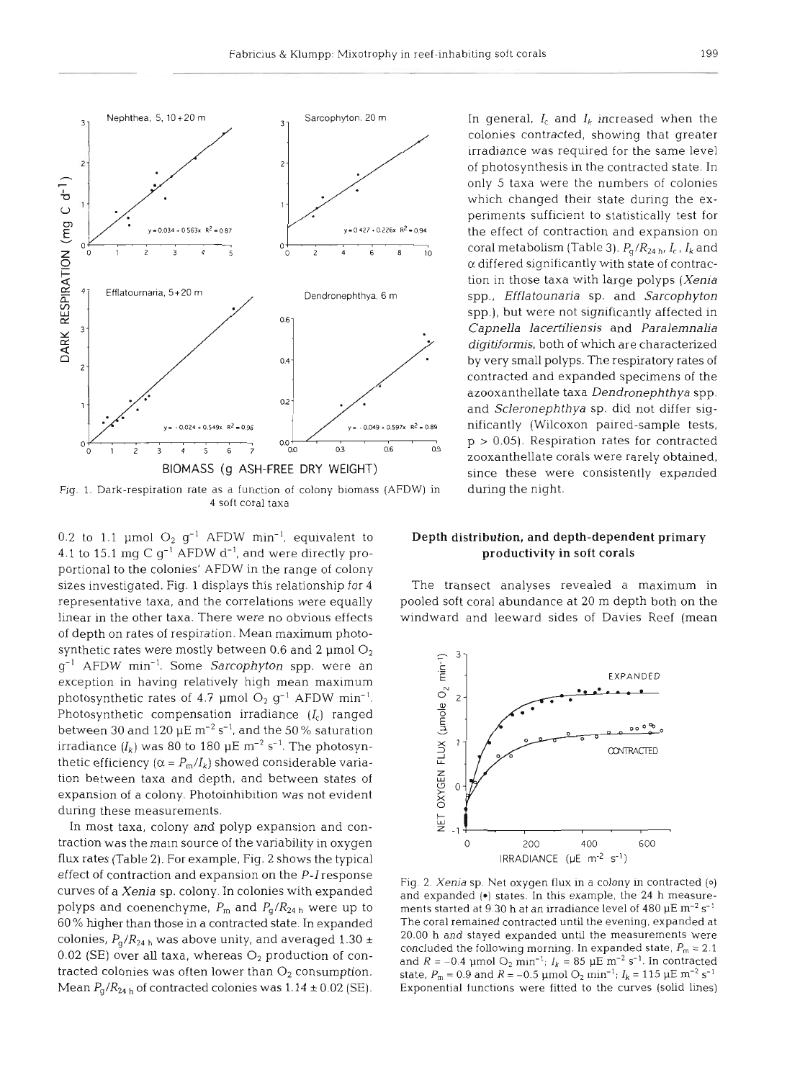

Fig. 1. Dark-respiration rate as a function of colony biomass (AFDW) in during the night. 4 soft coral taxa

0.2 to 1.1 µmol  $O_2$   $g^{-1}$  AFDW min<sup>-1</sup>, equivalent to 4.1 to 15.1 mg C  $g^{-1}$  AFDW  $d^{-1}$ , and were directly proportional to the colonies' AFDW in the range of colony sizes investigated. Fig. 1 displays this relationship for 4 representative taxa, and the correlations were equally linear in the other taxa. There were no obvious effects of depth on rates of respiration. Mean maximum photosynthetic rates were mostly between 0.6 and 2 µmol  $O<sub>2</sub>$ g-' AFDW min-'. Some *Sarcophyton* spp. were an exception in having relatively high mean maximum photosynthetic rates of 4.7 µmol  $O_2$   $g^{-1}$  AFDW min<sup>-1</sup>. Photosynthetic compensation irradiance  $(I_c)$  ranged between 30 and 120  $\mu$ E m<sup>-2</sup> s<sup>-1</sup>, and the 50% saturation irradiance  $(I_k)$  was 80 to 180  $\mu$ E m<sup>-2</sup> s<sup>-1</sup>. The photosynthetic efficiency  $(\alpha = P_m/I_k)$  showed considerable variation between taxa and depth, and between states of expansion of a colony. Photoinhibition was not evident during these measurements.

In most taxa, colony and polyp expansion and contraction was the main source of the variability in oxygen flux rates (Table **2).** For example, Fig. 2 shows the typical effect of contraction and expansion on the *P-I* response curves of a *Xenia* sp. colony. In colonies with expanded polyps and coenenchyme,  $P_m$  and  $P_q/R_{24 h}$  were up to 60% higher than those in a contracted state. In expanded colonies,  $P_q/R_{24 h}$  was above unity, and averaged 1.30  $\pm$ 0.02 (SE) over all taxa, whereas *O2* production of contracted colonies was often lower than  $O_2$  consumption. Mean  $P_q/R_{24 h}$  of contracted colonies was  $1.14 \pm 0.02$  (SE).

 $z$ coral metabolism (Table 3).  $P_q/R_{24 h}$ ,  $I_c$ ,  $I_k$  and 2 *a* differed significantly with state of contrac-Efflatournaria, 5+20 m Dendronephthya, 6 m spp., *Efflatounaria* sp, and *Sarcophyton*  spp.), but were not significantly affected in *Capnella lacertiliensis* and *Paralemnalia digitiformls,* both of which are characterized  $\sim$  by very small polyps. The respiratory rates of contracted and expanded specimens of the azooxanthellate taxa *Dendronephthya* spp. and *Scleronephthya* sp. did not differ sigzooxanthellate corals were rarely obtained,

## Depth distribution, and depth-dependent primary productivity in soft corals

The transect analyses revealed a maximum in pooled soft coral abundance at 20 m depth both on the windward and leeward sides of Davies Reef (mean



Fig. 2. *Xenja* sp. Net oxygen flux in a colony in contracted **(0)**  and expanded (•) states. In this example, the 24 h measurements started at 9.30 h at an irradiance level of 480 pE **m-2** s-' The coral remained contracted until the evening, expanded at 20.00 h and stayed expanded until the measurements were concluded the following morning. In expanded state,  $P_m = 2.1$ and  $R = -0.4$  µmol  $O_2$  min<sup>-1</sup>;  $I_k = 85$  µE m<sup>-2</sup> s<sup>-1</sup>. In contracted state,  $P_m = 0.9$  and  $R = -0.5$  µmol  $O_2$  min<sup>-1</sup>;  $I_k = 115$  µE m<sup>-2</sup> s<sup>-1</sup> Exponential functions were fitted to the curves (solid lines)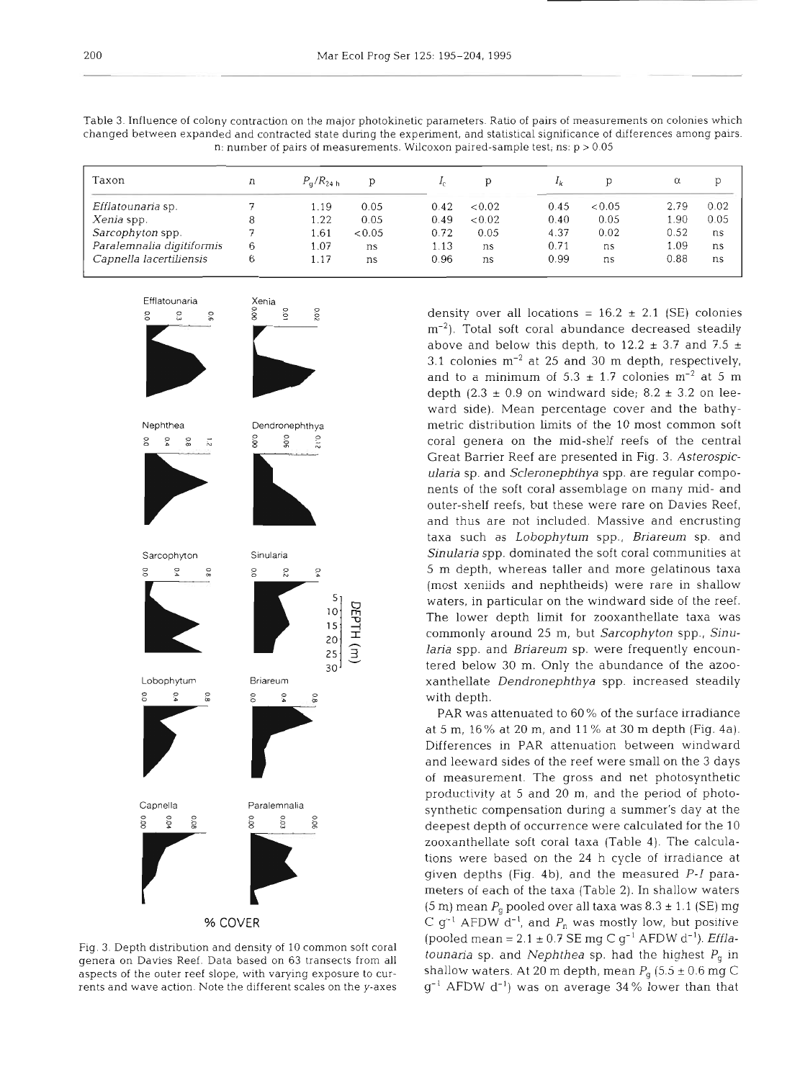| Taxon                     | n | $P_{\rm d}/R_{24 h}$ | D      |      |        | $I_k$ |        | α    | D    |
|---------------------------|---|----------------------|--------|------|--------|-------|--------|------|------|
| <i>Efflatounaria</i> sp.  |   | 1.19                 | 0.05   | 0.42 | < 0.02 | 0.45  | < 0.05 | 2.79 | 0.02 |
| Xenia spp.                |   | 1.22                 | 0.05   | 0.49 | < 0.02 | 0.40  | 0.05   | 1.90 | 0.05 |
| Sarcophyton spp.          |   | 1.61                 | < 0.05 | 0.72 | 0.05   | 4.37  | 0.02   | 0.52 | ns   |
| Paralemnalia digitiformis | 6 | 1.07                 | ns     | 1.13 | ns     | 0.71  | ns     | 1.09 | ns   |
| Capnella lacertiliensis   | ь | 1.17                 | ns     | 0.96 | ns     | 0.99  | ns     | 0.88 | ns   |

Table 3. Influence of colony contraction on the major photokinetic parameters. Ratio of pairs of measurements on colonies which changed between expanded and contracted state during the experiment, and statistical significance of dfferences among pairs. n: number of pairs of measurements. Wilcoxon paired-sample test; ns: p > 0.05



Fig. 3 Depth distnbution and density of 10 common soft coral genera on Davies Reef. Data based on 63 transects from all aspects of the outer reef slope, with varying exposure to currents and wave action. Note the different scales on the y-axes

density over all locations =  $16.2 \pm 2.1$  (SE) colonies m<sup>-2</sup>). Total soft coral abundance decreased steadily above and below this depth, to 12.2  $\pm$  3.7 and 7.5  $\pm$ 3.1 colonies  $m^{-2}$  at 25 and 30 m depth, respectively, and to a minimum of  $5.3 \pm 1.7$  colonies m<sup>-2</sup> at 5 m depth (2.3  $\pm$  0.9 on windward side; 8.2  $\pm$  3.2 on leeward side). Mean percentage cover and the bathymetric distribution limits of the 10 most common soft coral genera on the mid-shelf reefs of the central Great Barrier Reef are presented in Fig. 3. Asterospic*ularia* sp. and *Scleronephthya* spp. are regular components of the soft coral assemblage on many mid- and outer-shelf reefs, but these were rare on Davies Reef, and thus are not included. Massive and encrusting taxa such as *Lobophytum* spp., *Briareum* sp. and *Sinularia* spp. dominated the soft coral communities at 5 m depth, whereas taller and more gelatinous taxa (most xeniids and nephtheids) were rare in shallow waters, in particular on the windward side of the reef. The lower depth limit for zooxanthellate taxa was commonly around 25 m, but *Sarcophyton* spp., *Sinularia* spp. and *Briareum* sp, were frequently encountered below 30 m. Only the abundance of the azooxanthellate *Dendronephthya* spp. increased steadily with depth.

PAR was attenuated to 60% of the surface irradiance at 5 m, 16% at 20 m, and l1 % at 30 m depth (Fig. 4a). Differences in PAR attenuation between windward and leeward sides of the reef were small on the 3 days of measurement. The gross and net photosynthetic productivity at 5 and 20 m, and the period of photosynthetic compensation during a summer's day at the deepest depth of occurrence were calculated for the 10 zooxanthellate soft coral taxa (Table 4). The calculations were based on the 24 h cycle of irradiance at given depths (Fig. 4b), and the measured P-I parameters of each of the taxa (Table 2). In shallow waters  $(5 \text{ m})$  mean  $P_q$  pooled over all taxa was  $8.3 \pm 1.1$  (SE) mg C  $g^{-1}$  AFDW d<sup>-1</sup>, and  $P_n$  was mostly low, but positive  $\frac{1}{2}$  (pooled mean = 2.1  $\pm$  0.7 SE mg C g<sup>-1</sup> AFDW d<sup>-1</sup>). *Efflatounaria* sp. and *Nephthea* sp. had the highest  $P_q$  in shallow waters. At 20 m depth, mean  $P_g$  (5.5  $\pm$  0.6 mg C  $g^{-1}$  AFDW  $d^{-1}$ ) was on average 34% lower than that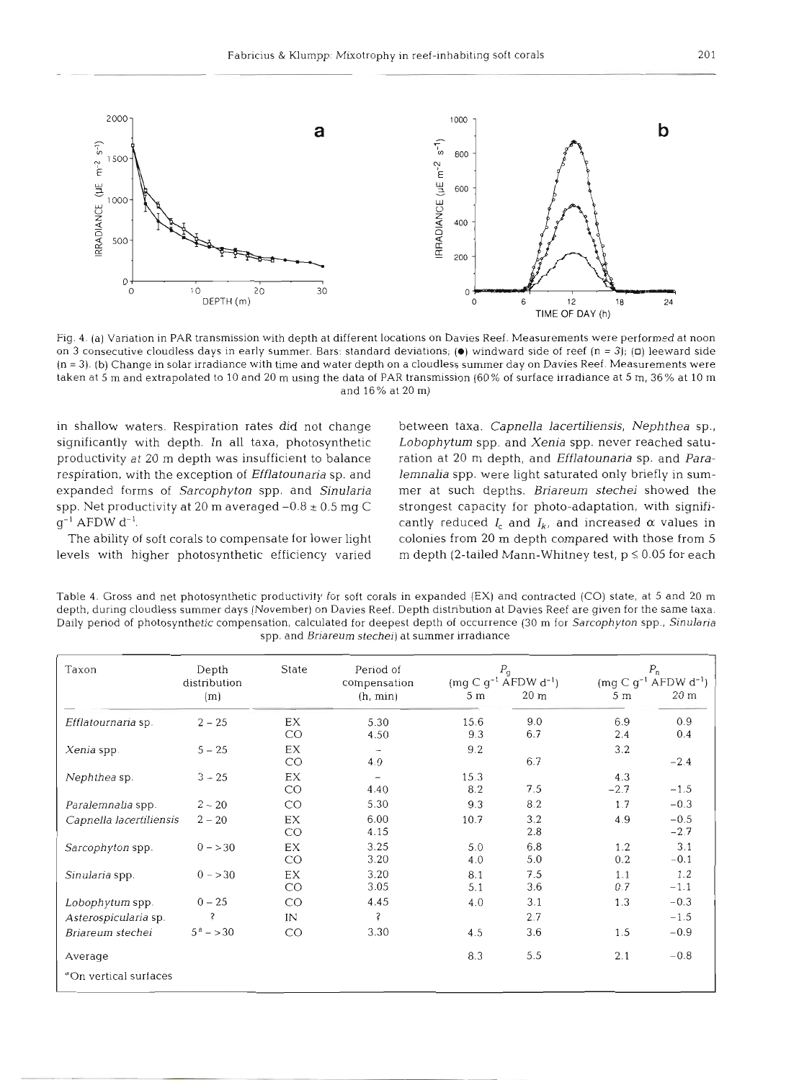

Fig. 4. (a) Variation in PAR transmission with depth at different locations on Davies Reef. Measurements were performed at noon on 3 consecutive cloudless days in early summer. Bars: standard deviations; **(e)** windward side of reef (n = 3); **(0)** leeward side (n = 3). (b) Change in solar irradiance with time and water depth on a cloudless summer day on Davies Reef. Measurements were taken at 5 m and extrapolated to 10 and 20 m using the data of PAR transmission (60% of surface irradiance at 5 m, 36% at 10 m and 16% at 20 m)

in shallow waters. Respiration rates did not change significantly with depth. In all taxa, photosynthetic productivity at 20 m depth was insufficient to balance respiration, with the exception of *Efflatounaria* sp. and expanded forms of *Sarcophyton* spp, and *Sinularia*  spp. Net productivity at 20 m averaged  $-0.8 \pm 0.5$  mg C  $q^{-1}$  AFDW  $d^{-1}$ .

The ability of soft corals to compensate for lower light levels with higher photosynthetic efficiency varied

between taxa. *Capnella lacertiliensis, Nephthea* sp., *Lobophytum* spp. and *Xenia* spp. never reached saturation at 20 m depth, and *Efflatounaria* sp. and *Paralemnalia* spp. were light saturated only briefly in summer at such depths. *Briareum stechei* showed the strongest capacity for photo-adaptation, with significantly reduced  $I_c$  and  $I_k$ , and increased  $\alpha$  values in colonies from 20 m depth compared with those from 5 m depth (2-tailed Mann-Whitney test,  $p \le 0.05$  for each

Table 4. Gross and net photosynthetic productivity for soft corals in expanded (EX) and contracted (CO) state, at 5 and 20 m depth, during cloudless summer days (November) on Davies Reef. Depth distribution at Davies Reef are given for the same taxa. Daily period of photosynthetic compensation, calculated for deepest depth of occurrence (30 m for Sarcophyton spp.. Sinularia spp. and Briareum stechei) at summer irradiance

| Taxon                             | Depth<br>distribution | State     | Period of<br>compensation       | $P_{\rm g}$<br>$(mg C g^{-1} AFDW d^{-1})$ |                 | $P_n$<br>$(mq C q^{-1} AFDW d^{-1})$ |                  |  |
|-----------------------------------|-----------------------|-----------|---------------------------------|--------------------------------------------|-----------------|--------------------------------------|------------------|--|
|                                   | (m)                   |           | (h, min)                        | 5 <sub>m</sub>                             | 20 <sub>m</sub> | 5 m                                  | $20 \text{ m}$   |  |
| Efflatournaria sp.                | $2 - 25$              | EX<br>CO  | 5.30<br>4.50                    | 15.6<br>9.3                                | 9.0<br>6.7      | 6.9<br>2.4                           | 0.9<br>0.4       |  |
| Xenia spp.                        | $5 - 25$              | EX<br>CO  | $\overline{\phantom{a}}$<br>4.0 | 9.2                                        | 6.7             | 3.2                                  | $-2.4$           |  |
| Nephthea sp.                      | $3 - 25$              | EX<br>CO  | 4.40                            | 15.3<br>8.2                                | 7.5             | 4.3<br>$-2.7$                        | $-1.5$           |  |
| Paralemnalia spp.                 | $2 - 20$              | CO        | 5.30                            | 9.3                                        | 8.2             | 1.7                                  | $-0.3$           |  |
| Capnella lacertiliensis           | $2 - 20$              | EX<br>CO  | 6.00<br>4.15                    | 10.7                                       | 3.2<br>2.8      | 4.9                                  | $-0.5$<br>$-2.7$ |  |
| Sarcophyton spp.                  | $0 - > 30$            | EX<br>CO  | 3.25<br>3.20                    | 5.0<br>4.0                                 | 6.8<br>5.0      | 1.2<br>0.2                           | 3.1<br>$-0.1$    |  |
| Sinularia spp.                    | $0 - > 30$            | EX<br>CO  | 3.20<br>3.05                    | 8.1<br>5.1                                 | 7.5<br>3.6      | 1.1<br>0.7                           | 1.2<br>$-1.1$    |  |
| Lobophytum spp.                   | $0 - 25$              | <b>CO</b> | 4.45                            | 4.0                                        | 3.1             | 1.3                                  | $-0.3$           |  |
| Asterospicularia sp.              | Ŝ                     | IN        | Ş                               |                                            | 2.7             |                                      | $-1.5$           |  |
| Briareum stechei                  | $5^a - 30$            | CO        | 3.30                            | 4.5                                        | 3.6             | 1.5                                  | $-0.9$           |  |
| Average                           |                       |           |                                 | 8.3                                        | 5.5             | 2.1                                  | $-0.8$           |  |
| <sup>d</sup> On vertical surfaces |                       |           |                                 |                                            |                 |                                      |                  |  |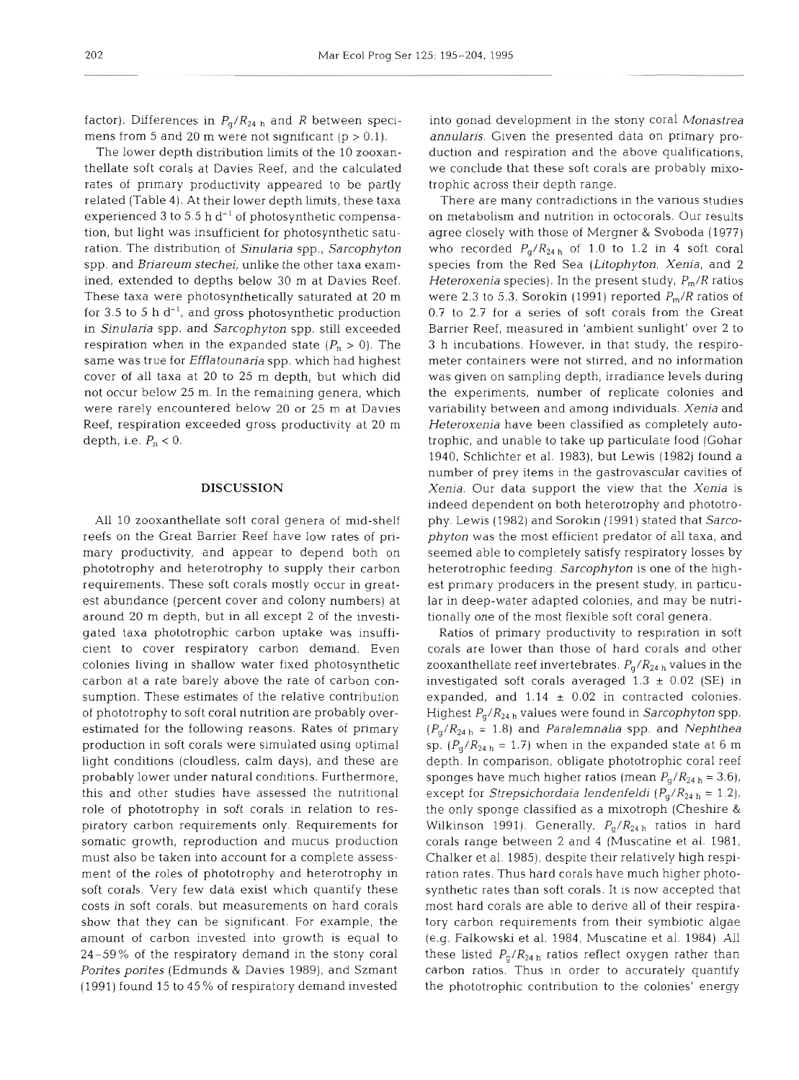factor). Differences in  $P_q/R_{24 h}$  and R between specimens from 5 and 20 m were not significant ( $p > 0.1$ ).

The lower depth distribution limits of the 10 zooxanthellate soft corals at Davies Reef, and the calculated rates of primary productivity appeared to be partly related (Table 4). At their lower depth limits, these taxa experienced 3 to 5.5 h  $d^{-1}$  of photosynthetic compensation, but light was insufficient for photosynthetic saturation. The distribution of Sinularia spp., Sarcophyton spp. and Briareum stechei, unlike the other taxa examined, extended to depths below 30 m at Davies Reef. These taxa were photosynthetically saturated at 20 m for 3.5 to 5 h  $d^{-1}$ , and gross photosynthetic production in Sinularia spp. and Sarcophyton spp. still exceeded respiration when in the expanded state  $(P_n > 0)$ . The same was true for Efflatounaria spp. which had highest cover of all taxa at 20 to 25 m depth, but which did not occur below 25 m. In the remaining genera, which were rarely encountered below 20 or 25 m at Davies Reef, respiration exceeded gross productivity at 20 m depth, i.e.  $P_n < 0$ .

#### **DISCUSSION**

All 10 zooxanthellate soft coral genera of mid-shelf reefs on the Great Barrier Reef have low rates of pnmary productivity, and appear to depend both on phototrophy and heterotrophy to supply their carbon requirements. These soft corals mostly occur in greatest abundance (percent cover and colony numbers) at around 20 m depth, but in all except 2 of the investigated taxa phototrophic carbon uptake was insufficient to cover respiratory carbon demand. Even colonies living in shallow water fixed photosynthetic carbon at a rate barely above the rate of carbon consumption. These estimates of the relative contribution of phototrophy to soft coral nutrition are probably overestimated for the following reasons. Rates of primary production in soft corals were simulated using optimal light conditions (cloudless, calm days), and these are probably lower under natural conditions. Furthermore, this and other studies have assessed the nutritional role of phototrophy in soft corals in relation to respiratory carbon requirements only. Requirements for somatic growth, reproduction and mucus production must also be taken into account for a complete assessment of the roles of phototrophy and heterotrophy in soft corals. Very few data exist which quantify these costs in soft corals, but measurements on hard corals show that they can be significant. For example, the amount of carbon invested into growth is equal to 24-59% of the respiratory demand in the stony coral Porites porites (Edmunds & Davies 1989), and Szmant (1991) found 15 to 45 % of respiratory demand invested

into gonad development in the stony coral Monastrea annularis. Given the presented data on primary production and respiration and the above qualifications, we conclude that these soft corals are probably mixotrophic across their depth range.

There are many contradictions in the various studies on metabolism and nutrition in octocorals. Our results agree closely with those of Mergner & Svoboda (1977) who recorded  $P_q/R_{24 h}$  of 1.0 to 1.2 in 4 soft coral species from the Red Sea (Litophyton, Xenia, and **2**  Heteroxenia species). In the present study,  $P_m/R$  ratios were 2.3 to 5.3. Sorokin (1991) reported  $P_m/R$  ratios of 0.7 to 2.7 for a series of soft corals from the Great Barrier Reef, measured in 'ambient sunlight' over 2 to *3* h incubations. However, in that study, the respirometer containers were not stirred, and no information was given on sampling depth, irradiance levels during the experiments, number of replicate colonies and variability between and among individuals. Xenia and Heteroxenia have been classified as completely autotrophic, and unable to take up particulate food (Gohar 1940, Schlichter et al. 1983), but Lewis (1982) found a number of prey items in the gastrovascular cavities of Xenia. Our data support the view that the Xenia is indeed dependent on both heterotrophy and phototrophy. Lewis (1982) and Sorokin (1991) stated that Sarcophyton was the most efficient predator of all taxa, and seemed able to completely satisfy respiratory losses by heterotrophic feeding. Sarcophyton is one of the highest primary producers in the present study, in particular in deep-water adapted colonies, and may be nutritionally one of the most flexible soft coral genera.

Ratios of primary productivity to respiration in soft corals are lower than those of hard corals and other zooxanthellate reef invertebrates.  $P_q/R_{24 h}$  values in the investigated soft corals averaged  $1.3 \pm 0.02$  (SE) in expanded, and  $1.14 \pm 0.02$  in contracted colonies. Highest  $P_g/R_{24 h}$  values were found in Sarcophyton spp.  $(P_q/R_{24 h} = 1.8)$  and *Paralemnalia* spp. and *Nephthea* sp.  $(P_g/R_{24 h} = 1.7)$  when in the expanded state at 6 m depth. In comparison, obligate phototrophic coral reef sponges have much higher ratios (mean  $P_g/R_{24 h} = 3.6$ ), except for *Strepsichordaia lendenfeldi* ( $P_q/R_{24 h} = 1.2$ ), the only sponge classified as a mixotroph (Cheshire & Wilkinson 1991). Generally,  $P_g/R_{24 h}$  ratios in hard corals range between 2 and 4 (Muscatine et al. 1981, Chalker et al. 1985), despite their relatively high respiration rates. Thus hard corals have much higher photosynthetic rates than soft corals. It is now accepted that most hard corals are able to derive all of their respiratory carbon requirements from their symbiotic algae (e.g. Falkowski et al. 1984, Muscatine et al. 1984). All these listed  $P_{\rm g}/R_{\rm 24 \, h}$  ratios reflect oxygen rather than carbon ratios. Thus in order to accurately quantify the phototrophic contribution to the colonies' energy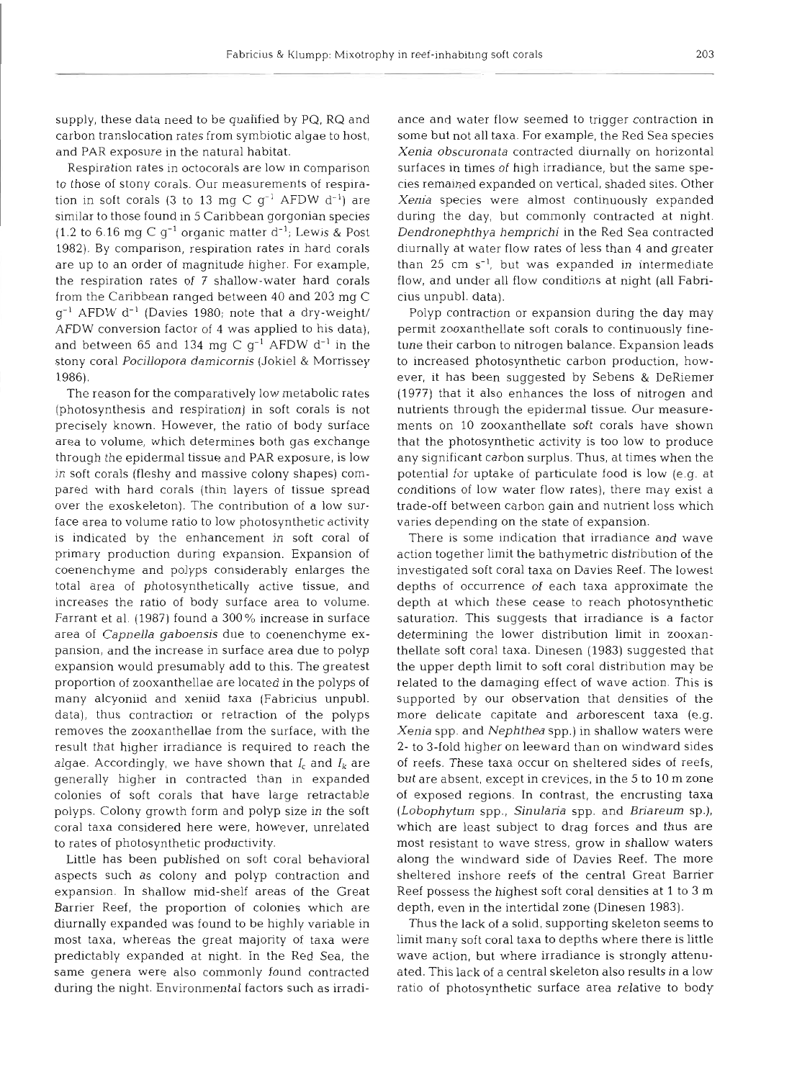supply, these data need to be qualified by PQ, RQ and carbon translocation rates from symbiotic algae to host, and PAR exposure in the natural habitat,

Respiration rates in octocorals are low in comparison to those of stony corals. Our measurements of respiration in soft corals (3 to 13 mg C  $g^{-1}$  AFDW d<sup>-1</sup>) are similar to those found in 5 Caribbean gorgonian species (1.2 to 6.16 mg C  $g^{-1}$  organic matter  $d^{-1}$ ; Lewis & Post 1982). By comparison, respiration rates in hard corals are up to an order of magnitude higher. For example, the respiration rates of 7 shallow-water hard corals from the Caribbean ranged between 40 and 203 mg C  $q^{-1}$  AFDW  $d^{-1}$  (Davies 1980; note that a dry-weight/ AFDW conversion factor of 4 was applied to his data), and between 65 and 134 mg C  $g^{-1}$  AFDW d<sup>-1</sup> in the stony coral Pocillopora damicornis (Jokiel & Morrissey 1986).

The reason for the comparatively low metabolic rates (photosynthesis and respiration) in soft corals is not precisely known. However, the ratio of body surface area to volume, which determines both gas exchange through the epidermal tissue and PAR exposure, is low in soft corals (fleshy and massive colony shapes) compared with hard corals (thin layers of tissue spread over the exoskeleton). The contribution of a low surface area to volume ratio to low photosynthetic activity is indicated by the enhancement in soft coral of primary production during expansion. Expansion of coenenchyme and polyps considerably enlarges the total area of photosynthetically active tissue, and increases the ratio of body surface area to volume. Farrant et al, (1987) found a 300 % increase in surface area of Capnella gaboensis due to coenenchyme expansion, and the increase in surface area due to polyp expansion would presumably add to this. The greatest proportion of zooxanthellae are located in the polyps of many alcyoniid and xeniid taxa (Fabricius unpubl. data), thus contraction or retraction of the polyps removes the zooxanthellae from the surface, with the result that higher irradiance is required to reach the algae. Accordingly, we have shown that  $I_c$  and  $I_k$  are generally higher in contracted than in expanded colonies of soft corals that have large retractable polyps. Colony growth form and polyp size in the soft coral taxa considered here were, however, unrelated to rates of photosynthetic productivity.

Little has been published on soft coral behavioral aspects such as colony and polyp contraction and expansion. In shallow mid-shelf areas of the Great Barrier Reef, the proportion of colonies which are diurnally expanded was found to be highly variable in most taxa, whereas the great majority of taxa were predictably expanded at night. In the Red Sea, the same genera were also commonly found contracted during the night. Environmental factors such as irradi-

ance and water liow seemed to trigger contaction in<br>some but not all that a. For example, the Red Sea species<br>scarce but not all thata. For example, the Red Sea species<br>scarces strates in times of hypi irradiance, but the